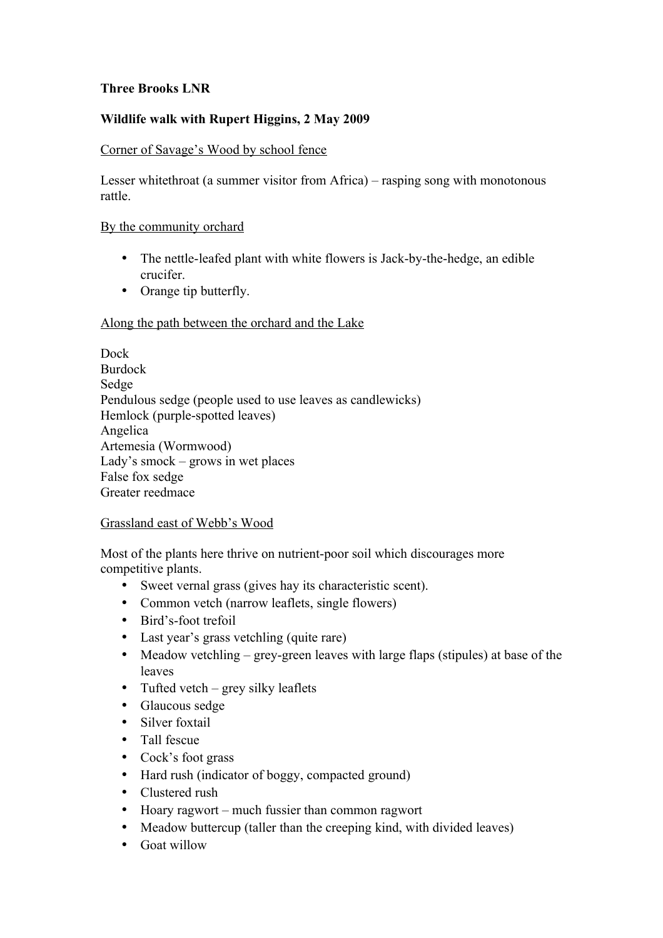# **Three Brooks LNR**

# **Wildlife walk with Rupert Higgins, 2 May 2009**

## Corner of Savage's Wood by school fence

Lesser whitethroat (a summer visitor from Africa) – rasping song with monotonous rattle.

#### By the community orchard

- The nettle-leafed plant with white flowers is Jack-by-the-hedge, an edible crucifer.
- Orange tip butterfly.

#### Along the path between the orchard and the Lake

Dock Burdock Sedge Pendulous sedge (people used to use leaves as candlewicks) Hemlock (purple-spotted leaves) Angelica Artemesia (Wormwood) Lady's smock – grows in wet places False fox sedge Greater reedmace

## Grassland east of Webb's Wood

Most of the plants here thrive on nutrient-poor soil which discourages more competitive plants.

- Sweet vernal grass (gives hay its characteristic scent).
- Common vetch (narrow leaflets, single flowers)
- Bird's-foot trefoil
- Last year's grass vetchling (quite rare)
- Meadow vetchling grey-green leaves with large flaps (stipules) at base of the leaves
- Tufted vetch grey silky leaflets
- Glaucous sedge
- Silver foxtail
- Tall fescue
- Cock's foot grass
- Hard rush (indicator of boggy, compacted ground)
- Clustered rush
- Hoary ragwort much fussier than common ragwort
- Meadow buttercup (taller than the creeping kind, with divided leaves)
- Goat willow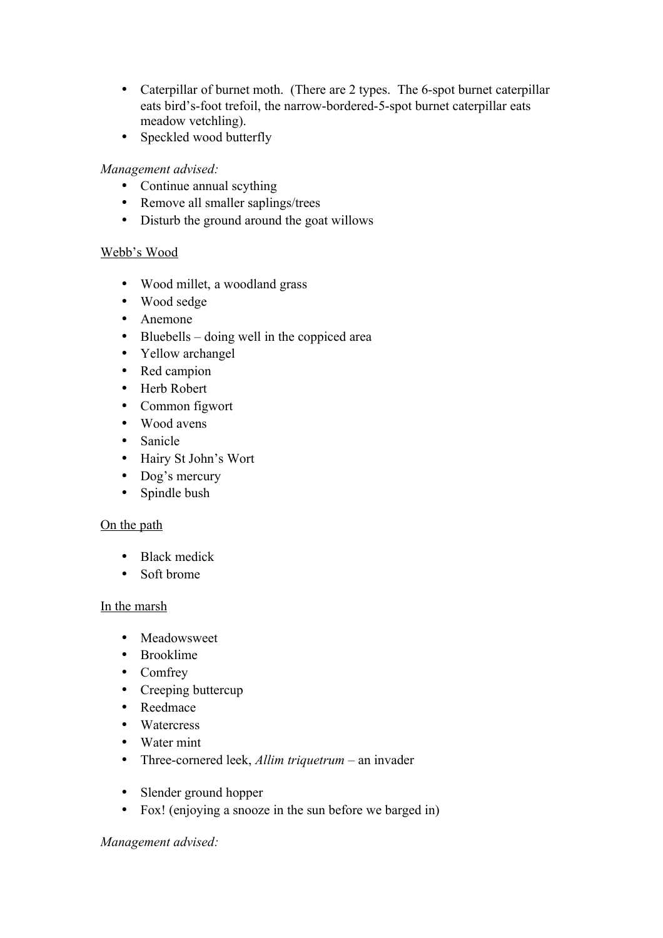- Caterpillar of burnet moth. (There are 2 types. The 6-spot burnet caterpillar eats bird's-foot trefoil, the narrow-bordered-5-spot burnet caterpillar eats meadow vetchling).
- Speckled wood butterfly

# *Management advised:*

- Continue annual scything
- Remove all smaller saplings/trees
- Disturb the ground around the goat willows

# Webb's Wood

- Wood millet, a woodland grass
- Wood sedge
- Anemone
- Bluebells doing well in the coppiced area
- Yellow archangel
- Red campion
- Herb Robert
- Common figwort
- Wood avens
- Sanicle
- Hairy St John's Wort
- Dog's mercury
- Spindle bush

## On the path

- Black medick
- Soft brome

#### In the marsh

- Meadowsweet
- Brooklime
- Comfrey
- Creeping buttercup
- Reedmace
- Watercress
- Water mint
- Three-cornered leek, *Allim triquetrum* an invader
- Slender ground hopper
- Fox! (enjoying a snooze in the sun before we barged in)

*Management advised:*